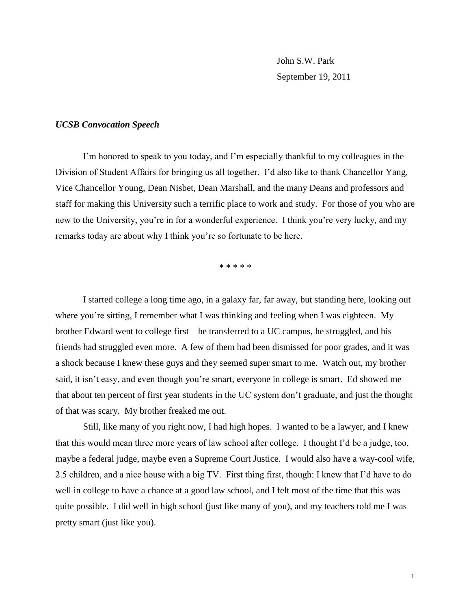John S.W. Park September 19, 2011

## *UCSB Convocation Speech*

I'm honored to speak to you today, and I'm especially thankful to my colleagues in the Division of Student Affairs for bringing us all together. I'd also like to thank Chancellor Yang, Vice Chancellor Young, Dean Nisbet, Dean Marshall, and the many Deans and professors and staff for making this University such a terrific place to work and study. For those of you who are new to the University, you're in for a wonderful experience. I think you're very lucky, and my remarks today are about why I think you're so fortunate to be here.

\* \* \* \* \*

I started college a long time ago, in a galaxy far, far away, but standing here, looking out where you're sitting, I remember what I was thinking and feeling when I was eighteen. My brother Edward went to college first—he transferred to a UC campus, he struggled, and his friends had struggled even more. A few of them had been dismissed for poor grades, and it was a shock because I knew these guys and they seemed super smart to me. Watch out, my brother said, it isn't easy, and even though you're smart, everyone in college is smart. Ed showed me that about ten percent of first year students in the UC system don't graduate, and just the thought of that was scary. My brother freaked me out.

Still, like many of you right now, I had high hopes. I wanted to be a lawyer, and I knew that this would mean three more years of law school after college. I thought I'd be a judge, too, maybe a federal judge, maybe even a Supreme Court Justice. I would also have a way-cool wife, 2.5 children, and a nice house with a big TV. First thing first, though: I knew that I'd have to do well in college to have a chance at a good law school, and I felt most of the time that this was quite possible. I did well in high school (just like many of you), and my teachers told me I was pretty smart (just like you).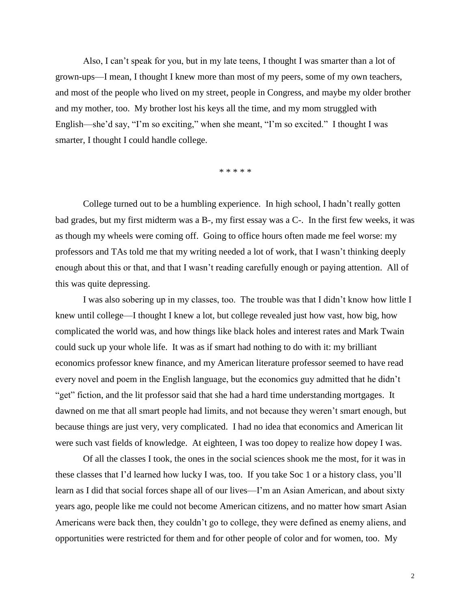Also, I can't speak for you, but in my late teens, I thought I was smarter than a lot of grown-ups—I mean, I thought I knew more than most of my peers, some of my own teachers, and most of the people who lived on my street, people in Congress, and maybe my older brother and my mother, too. My brother lost his keys all the time, and my mom struggled with English—she'd say, "I'm so exciting," when she meant, "I'm so excited." I thought I was smarter, I thought I could handle college.

\* \* \* \* \*

College turned out to be a humbling experience. In high school, I hadn't really gotten bad grades, but my first midterm was a B-, my first essay was a C-. In the first few weeks, it was as though my wheels were coming off. Going to office hours often made me feel worse: my professors and TAs told me that my writing needed a lot of work, that I wasn't thinking deeply enough about this or that, and that I wasn't reading carefully enough or paying attention. All of this was quite depressing.

I was also sobering up in my classes, too. The trouble was that I didn't know how little I knew until college—I thought I knew a lot, but college revealed just how vast, how big, how complicated the world was, and how things like black holes and interest rates and Mark Twain could suck up your whole life. It was as if smart had nothing to do with it: my brilliant economics professor knew finance, and my American literature professor seemed to have read every novel and poem in the English language, but the economics guy admitted that he didn't "get" fiction, and the lit professor said that she had a hard time understanding mortgages. It dawned on me that all smart people had limits, and not because they weren't smart enough, but because things are just very, very complicated. I had no idea that economics and American lit were such vast fields of knowledge. At eighteen, I was too dopey to realize how dopey I was.

Of all the classes I took, the ones in the social sciences shook me the most, for it was in these classes that I'd learned how lucky I was, too. If you take Soc 1 or a history class, you'll learn as I did that social forces shape all of our lives—I'm an Asian American, and about sixty years ago, people like me could not become American citizens, and no matter how smart Asian Americans were back then, they couldn't go to college, they were defined as enemy aliens, and opportunities were restricted for them and for other people of color and for women, too. My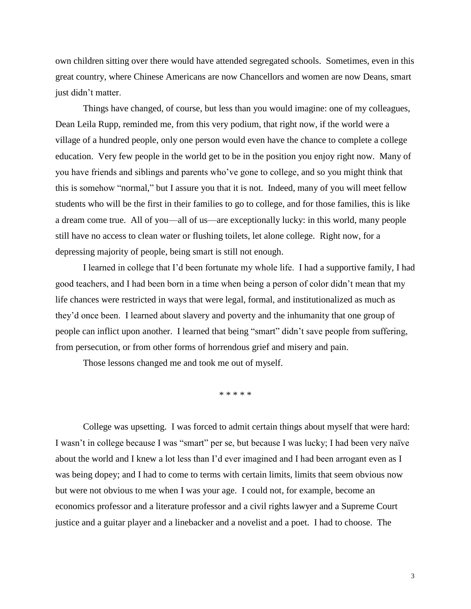own children sitting over there would have attended segregated schools. Sometimes, even in this great country, where Chinese Americans are now Chancellors and women are now Deans, smart just didn't matter.

Things have changed, of course, but less than you would imagine: one of my colleagues, Dean Leila Rupp, reminded me, from this very podium, that right now, if the world were a village of a hundred people, only one person would even have the chance to complete a college education. Very few people in the world get to be in the position you enjoy right now. Many of you have friends and siblings and parents who've gone to college, and so you might think that this is somehow "normal," but I assure you that it is not. Indeed, many of you will meet fellow students who will be the first in their families to go to college, and for those families, this is like a dream come true. All of you—all of us—are exceptionally lucky: in this world, many people still have no access to clean water or flushing toilets, let alone college. Right now, for a depressing majority of people, being smart is still not enough.

I learned in college that I'd been fortunate my whole life. I had a supportive family, I had good teachers, and I had been born in a time when being a person of color didn't mean that my life chances were restricted in ways that were legal, formal, and institutionalized as much as they'd once been. I learned about slavery and poverty and the inhumanity that one group of people can inflict upon another. I learned that being "smart" didn't save people from suffering, from persecution, or from other forms of horrendous grief and misery and pain.

Those lessons changed me and took me out of myself.

\* \* \* \* \*

College was upsetting. I was forced to admit certain things about myself that were hard: I wasn't in college because I was "smart" per se, but because I was lucky; I had been very naïve about the world and I knew a lot less than I'd ever imagined and I had been arrogant even as I was being dopey; and I had to come to terms with certain limits, limits that seem obvious now but were not obvious to me when I was your age. I could not, for example, become an economics professor and a literature professor and a civil rights lawyer and a Supreme Court justice and a guitar player and a linebacker and a novelist and a poet. I had to choose. The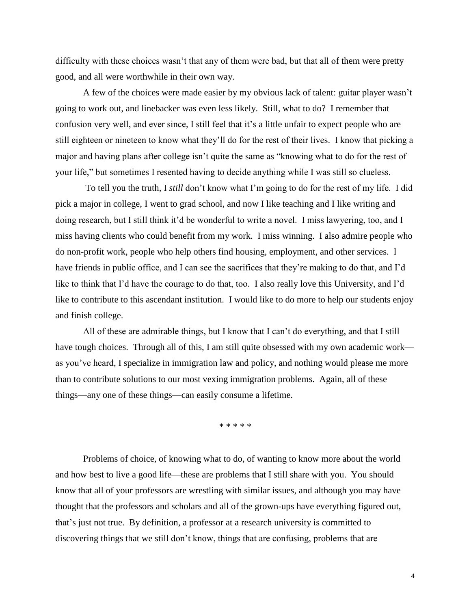difficulty with these choices wasn't that any of them were bad, but that all of them were pretty good, and all were worthwhile in their own way.

A few of the choices were made easier by my obvious lack of talent: guitar player wasn't going to work out, and linebacker was even less likely. Still, what to do? I remember that confusion very well, and ever since, I still feel that it's a little unfair to expect people who are still eighteen or nineteen to know what they'll do for the rest of their lives. I know that picking a major and having plans after college isn't quite the same as "knowing what to do for the rest of your life," but sometimes I resented having to decide anything while I was still so clueless.

To tell you the truth, I *still* don't know what I'm going to do for the rest of my life. I did pick a major in college, I went to grad school, and now I like teaching and I like writing and doing research, but I still think it'd be wonderful to write a novel. I miss lawyering, too, and I miss having clients who could benefit from my work. I miss winning. I also admire people who do non-profit work, people who help others find housing, employment, and other services. I have friends in public office, and I can see the sacrifices that they're making to do that, and I'd like to think that I'd have the courage to do that, too. I also really love this University, and I'd like to contribute to this ascendant institution. I would like to do more to help our students enjoy and finish college.

All of these are admirable things, but I know that I can't do everything, and that I still have tough choices. Through all of this, I am still quite obsessed with my own academic work as you've heard, I specialize in immigration law and policy, and nothing would please me more than to contribute solutions to our most vexing immigration problems. Again, all of these things—any one of these things—can easily consume a lifetime.

\* \* \* \* \*

Problems of choice, of knowing what to do, of wanting to know more about the world and how best to live a good life—these are problems that I still share with you. You should know that all of your professors are wrestling with similar issues, and although you may have thought that the professors and scholars and all of the grown-ups have everything figured out, that's just not true. By definition, a professor at a research university is committed to discovering things that we still don't know, things that are confusing, problems that are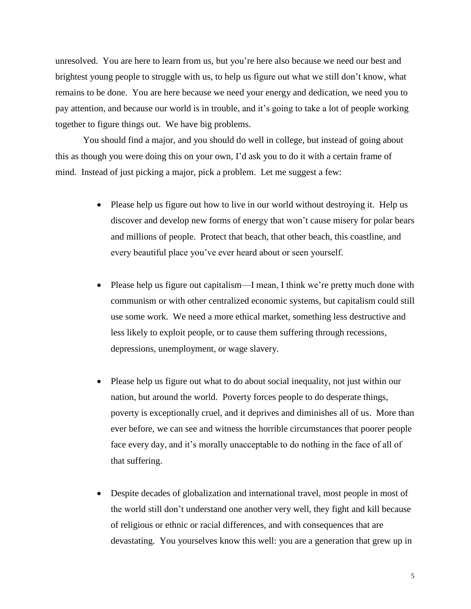unresolved. You are here to learn from us, but you're here also because we need our best and brightest young people to struggle with us, to help us figure out what we still don't know, what remains to be done. You are here because we need your energy and dedication, we need you to pay attention, and because our world is in trouble, and it's going to take a lot of people working together to figure things out. We have big problems.

You should find a major, and you should do well in college, but instead of going about this as though you were doing this on your own, I'd ask you to do it with a certain frame of mind. Instead of just picking a major, pick a problem. Let me suggest a few:

- Please help us figure out how to live in our world without destroying it. Help us discover and develop new forms of energy that won't cause misery for polar bears and millions of people. Protect that beach, that other beach, this coastline, and every beautiful place you've ever heard about or seen yourself.
- Please help us figure out capitalism—I mean, I think we're pretty much done with communism or with other centralized economic systems, but capitalism could still use some work. We need a more ethical market, something less destructive and less likely to exploit people, or to cause them suffering through recessions, depressions, unemployment, or wage slavery.
- Please help us figure out what to do about social inequality, not just within our nation, but around the world. Poverty forces people to do desperate things, poverty is exceptionally cruel, and it deprives and diminishes all of us. More than ever before, we can see and witness the horrible circumstances that poorer people face every day, and it's morally unacceptable to do nothing in the face of all of that suffering.
- Despite decades of globalization and international travel, most people in most of the world still don't understand one another very well, they fight and kill because of religious or ethnic or racial differences, and with consequences that are devastating. You yourselves know this well: you are a generation that grew up in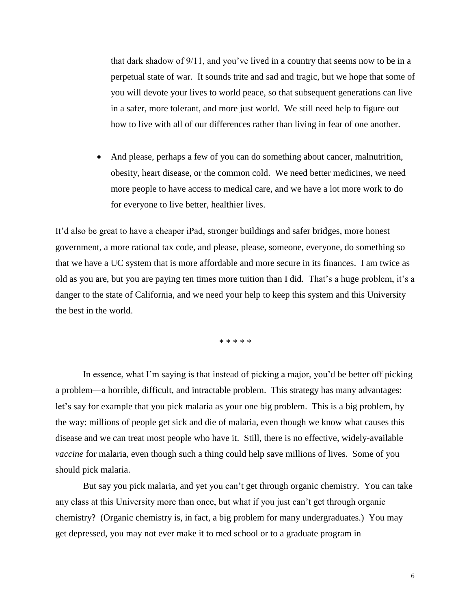that dark shadow of 9/11, and you've lived in a country that seems now to be in a perpetual state of war. It sounds trite and sad and tragic, but we hope that some of you will devote your lives to world peace, so that subsequent generations can live in a safer, more tolerant, and more just world. We still need help to figure out how to live with all of our differences rather than living in fear of one another.

 And please, perhaps a few of you can do something about cancer, malnutrition, obesity, heart disease, or the common cold. We need better medicines, we need more people to have access to medical care, and we have a lot more work to do for everyone to live better, healthier lives.

It'd also be great to have a cheaper iPad, stronger buildings and safer bridges, more honest government, a more rational tax code, and please, please, someone, everyone, do something so that we have a UC system that is more affordable and more secure in its finances. I am twice as old as you are, but you are paying ten times more tuition than I did. That's a huge problem, it's a danger to the state of California, and we need your help to keep this system and this University the best in the world.

\* \* \* \* \*

In essence, what I'm saying is that instead of picking a major, you'd be better off picking a problem—a horrible, difficult, and intractable problem. This strategy has many advantages: let's say for example that you pick malaria as your one big problem. This is a big problem, by the way: millions of people get sick and die of malaria, even though we know what causes this disease and we can treat most people who have it. Still, there is no effective, widely-available *vaccine* for malaria, even though such a thing could help save millions of lives. Some of you should pick malaria.

But say you pick malaria, and yet you can't get through organic chemistry. You can take any class at this University more than once, but what if you just can't get through organic chemistry? (Organic chemistry is, in fact, a big problem for many undergraduates.) You may get depressed, you may not ever make it to med school or to a graduate program in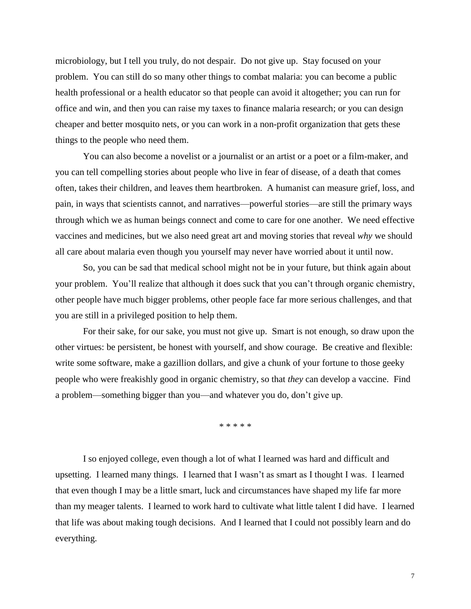microbiology, but I tell you truly, do not despair. Do not give up. Stay focused on your problem. You can still do so many other things to combat malaria: you can become a public health professional or a health educator so that people can avoid it altogether; you can run for office and win, and then you can raise my taxes to finance malaria research; or you can design cheaper and better mosquito nets, or you can work in a non-profit organization that gets these things to the people who need them.

You can also become a novelist or a journalist or an artist or a poet or a film-maker, and you can tell compelling stories about people who live in fear of disease, of a death that comes often, takes their children, and leaves them heartbroken. A humanist can measure grief, loss, and pain, in ways that scientists cannot, and narratives—powerful stories—are still the primary ways through which we as human beings connect and come to care for one another. We need effective vaccines and medicines, but we also need great art and moving stories that reveal *why* we should all care about malaria even though you yourself may never have worried about it until now.

So, you can be sad that medical school might not be in your future, but think again about your problem. You'll realize that although it does suck that you can't through organic chemistry, other people have much bigger problems, other people face far more serious challenges, and that you are still in a privileged position to help them.

For their sake, for our sake, you must not give up. Smart is not enough, so draw upon the other virtues: be persistent, be honest with yourself, and show courage. Be creative and flexible: write some software, make a gazillion dollars, and give a chunk of your fortune to those geeky people who were freakishly good in organic chemistry, so that *they* can develop a vaccine. Find a problem—something bigger than you—and whatever you do, don't give up.

\* \* \* \* \*

I so enjoyed college, even though a lot of what I learned was hard and difficult and upsetting. I learned many things. I learned that I wasn't as smart as I thought I was. I learned that even though I may be a little smart, luck and circumstances have shaped my life far more than my meager talents. I learned to work hard to cultivate what little talent I did have. I learned that life was about making tough decisions. And I learned that I could not possibly learn and do everything.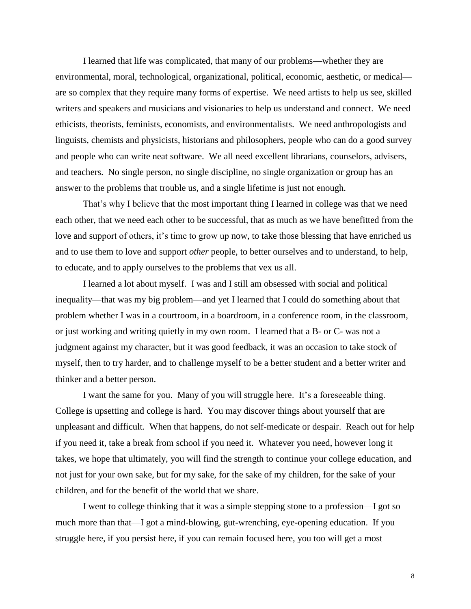I learned that life was complicated, that many of our problems—whether they are environmental, moral, technological, organizational, political, economic, aesthetic, or medical are so complex that they require many forms of expertise. We need artists to help us see, skilled writers and speakers and musicians and visionaries to help us understand and connect. We need ethicists, theorists, feminists, economists, and environmentalists. We need anthropologists and linguists, chemists and physicists, historians and philosophers, people who can do a good survey and people who can write neat software. We all need excellent librarians, counselors, advisers, and teachers. No single person, no single discipline, no single organization or group has an answer to the problems that trouble us, and a single lifetime is just not enough.

That's why I believe that the most important thing I learned in college was that we need each other, that we need each other to be successful, that as much as we have benefitted from the love and support of others, it's time to grow up now, to take those blessing that have enriched us and to use them to love and support *other* people, to better ourselves and to understand, to help, to educate, and to apply ourselves to the problems that vex us all.

I learned a lot about myself. I was and I still am obsessed with social and political inequality—that was my big problem—and yet I learned that I could do something about that problem whether I was in a courtroom, in a boardroom, in a conference room, in the classroom, or just working and writing quietly in my own room. I learned that a B- or C- was not a judgment against my character, but it was good feedback, it was an occasion to take stock of myself, then to try harder, and to challenge myself to be a better student and a better writer and thinker and a better person.

I want the same for you. Many of you will struggle here. It's a foreseeable thing. College is upsetting and college is hard. You may discover things about yourself that are unpleasant and difficult. When that happens, do not self-medicate or despair. Reach out for help if you need it, take a break from school if you need it. Whatever you need, however long it takes, we hope that ultimately, you will find the strength to continue your college education, and not just for your own sake, but for my sake, for the sake of my children, for the sake of your children, and for the benefit of the world that we share.

I went to college thinking that it was a simple stepping stone to a profession—I got so much more than that—I got a mind-blowing, gut-wrenching, eye-opening education. If you struggle here, if you persist here, if you can remain focused here, you too will get a most